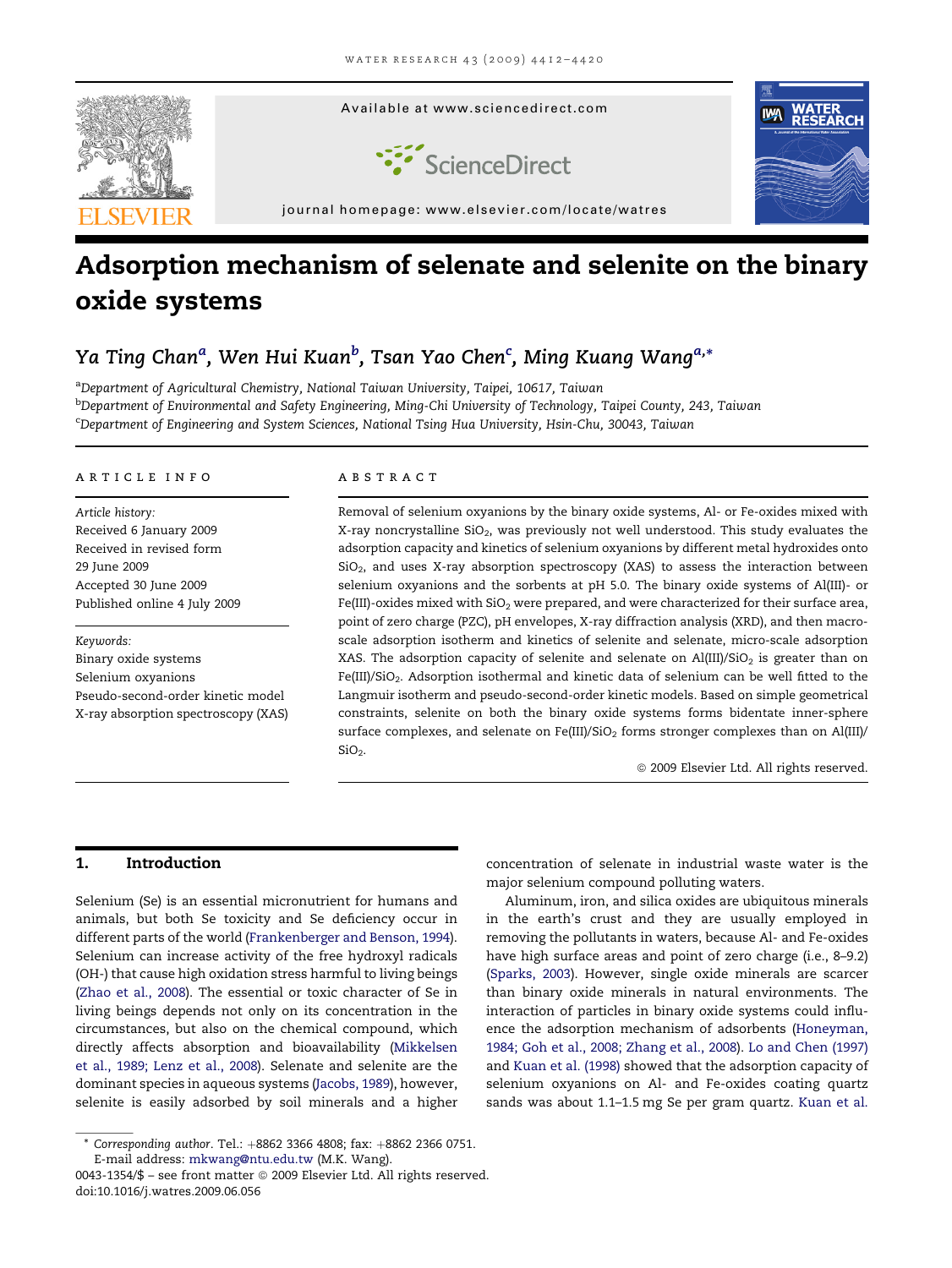

# Adsorption mechanism of selenate and selenite on the binary oxide systems

# Ya Ting Chan<sup>a</sup>, Wen Hui Kuan<sup>b</sup>, Tsan Yao Chen<sup>c</sup>, Ming Kuang Wang<sup>a,</sup>\*

<sup>a</sup>Department of Agricultural Chemistry, National Taiwan University, Taipei, 10617, Taiwan <sup>b</sup>Department of Environmental and Safety Engineering, Ming-Chi University of Technology, Taipei County, 243, Taiwan c Department of Engineering and System Sciences, National Tsing Hua University, Hsin-Chu, 30043, Taiwan

# article info

Article history: Received 6 January 2009 Received in revised form 29 June 2009 Accepted 30 June 2009 Published online 4 July 2009

Keywords: Binary oxide systems Selenium oxyanions Pseudo-second-order kinetic model X-ray absorption spectroscopy (XAS)

# **ABSTRACT**

Removal of selenium oxyanions by the binary oxide systems, Al- or Fe-oxides mixed with X-ray noncrystalline  $SiO<sub>2</sub>$ , was previously not well understood. This study evaluates the adsorption capacity and kinetics of selenium oxyanions by different metal hydroxides onto  $SiO<sub>2</sub>$ , and uses X-ray absorption spectroscopy (XAS) to assess the interaction between selenium oxyanions and the sorbents at pH 5.0. The binary oxide systems of Al(III)- or Fe(III)-oxides mixed with  $SiO<sub>2</sub>$  were prepared, and were characterized for their surface area, point of zero charge (PZC), pH envelopes, X-ray diffraction analysis (XRD), and then macroscale adsorption isotherm and kinetics of selenite and selenate, micro-scale adsorption XAS. The adsorption capacity of selenite and selenate on  $Al(III)/SiO<sub>2</sub>$  is greater than on Fe(III)/SiO<sub>2</sub>. Adsorption isothermal and kinetic data of selenium can be well fitted to the Langmuir isotherm and pseudo-second-order kinetic models. Based on simple geometrical constraints, selenite on both the binary oxide systems forms bidentate inner-sphere surface complexes, and selenate on Fe(III)/SiO<sub>2</sub> forms stronger complexes than on Al(III)/  $SiO<sub>2</sub>$ .

 $@$  2009 Elsevier Ltd. All rights reserved.

# 1. Introduction

Selenium (Se) is an essential micronutrient for humans and animals, but both Se toxicity and Se deficiency occur in different parts of the world ([Frankenberger and Benson, 1994\)](#page-7-0). Selenium can increase activity of the free hydroxyl radicals (OH-) that cause high oxidation stress harmful to living beings ([Zhao et al., 2008](#page-8-0)). The essential or toxic character of Se in living beings depends not only on its concentration in the circumstances, but also on the chemical compound, which directly affects absorption and bioavailability ([Mikkelsen](#page-8-0) [et al., 1989; Lenz et al., 2008](#page-8-0)). Selenate and selenite are the dominant species in aqueous systems ([Jacobs, 1989\)](#page-7-0), however, selenite is easily adsorbed by soil minerals and a higher

concentration of selenate in industrial waste water is the major selenium compound polluting waters.

Aluminum, iron, and silica oxides are ubiquitous minerals in the earth's crust and they are usually employed in removing the pollutants in waters, because Al- and Fe-oxides have high surface areas and point of zero charge (i.e., 8–9.2) ([Sparks, 2003](#page-8-0)). However, single oxide minerals are scarcer than binary oxide minerals in natural environments. The interaction of particles in binary oxide systems could influence the adsorption mechanism of adsorbents [\(Honeyman,](#page-7-0) [1984; Goh et al., 2008; Zhang et al., 2008](#page-7-0)). [Lo and Chen \(1997\)](#page-7-0) and [Kuan et al. \(1998\)](#page-7-0) showed that the adsorption capacity of selenium oxyanions on Al- and Fe-oxides coating quartz sands was about 1.1–1.5 mg Se per gram quartz. [Kuan et al.](#page-7-0)

 $*$  Corresponding author. Tel.:  $+8862$  3366 4808; fax:  $+8862$  2366 0751. E-mail address: [mkwang@ntu.edu.tw](mailto:mkwang@ntu.edu.tw) (M.K. Wang).

<sup>0043-1354/\$ -</sup> see front matter © 2009 Elsevier Ltd. All rights reserved. doi:10.1016/j.watres.2009.06.056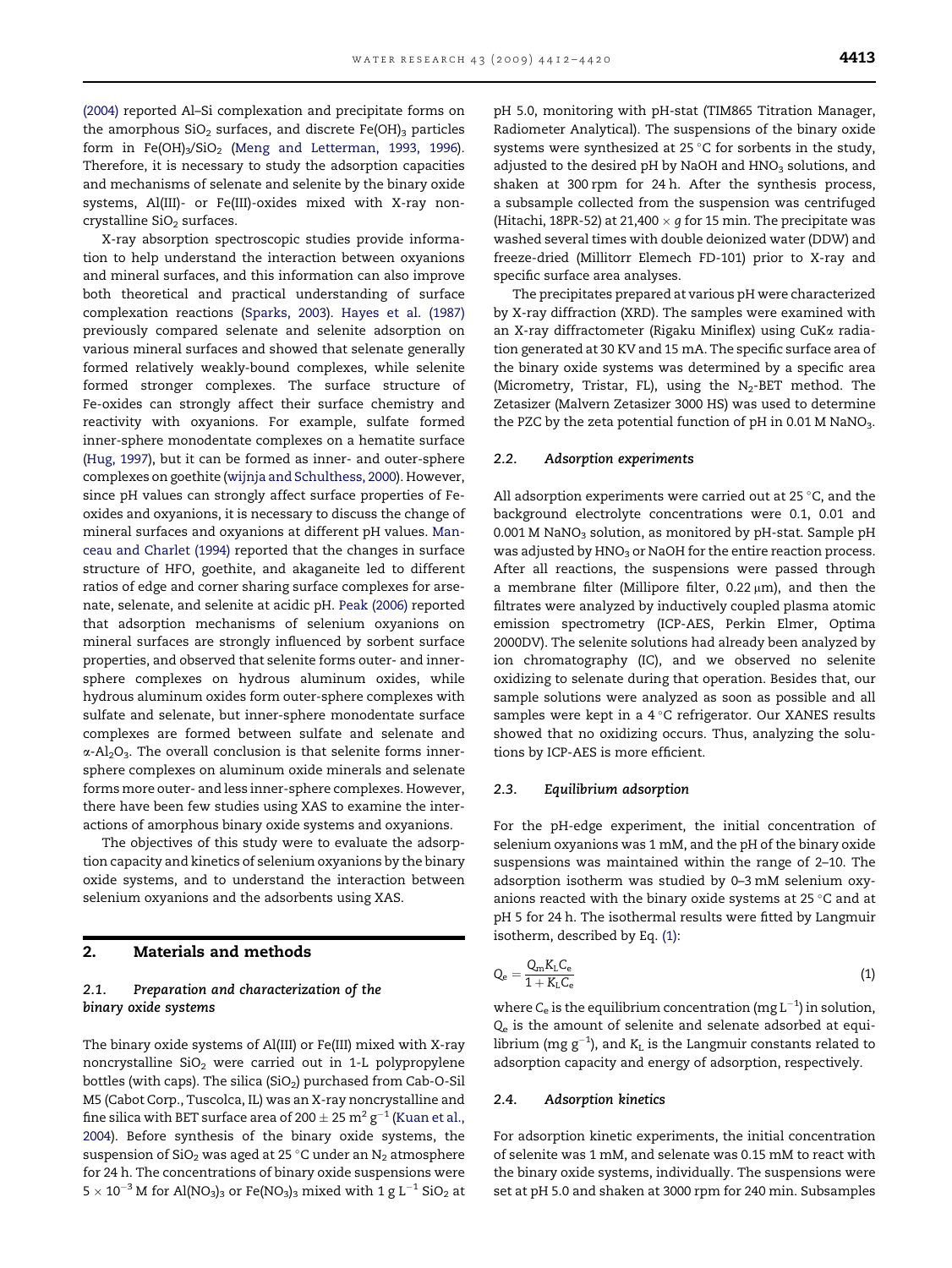[\(2004\)](#page-7-0) reported Al–Si complexation and precipitate forms on the amorphous  $SiO<sub>2</sub>$  surfaces, and discrete Fe(OH)<sub>3</sub> particles form in Fe(OH)<sub>3</sub>/SiO<sub>2</sub> [\(Meng and Letterman, 1993, 1996](#page-8-0)). Therefore, it is necessary to study the adsorption capacities and mechanisms of selenate and selenite by the binary oxide systems, Al(III)- or Fe(III)-oxides mixed with X-ray noncrystalline  $SiO<sub>2</sub>$  surfaces.

X-ray absorption spectroscopic studies provide information to help understand the interaction between oxyanions and mineral surfaces, and this information can also improve both theoretical and practical understanding of surface complexation reactions [\(Sparks, 2003](#page-8-0)). [Hayes et al. \(1987\)](#page-7-0) previously compared selenate and selenite adsorption on various mineral surfaces and showed that selenate generally formed relatively weakly-bound complexes, while selenite formed stronger complexes. The surface structure of Fe-oxides can strongly affect their surface chemistry and reactivity with oxyanions. For example, sulfate formed inner-sphere monodentate complexes on a hematite surface [\(Hug, 1997\)](#page-7-0), but it can be formed as inner- and outer-sphere complexes on goethite [\(wijnja and Schulthess, 2000\)](#page-8-0). However, since pH values can strongly affect surface properties of Feoxides and oxyanions, it is necessary to discuss the change of mineral surfaces and oxyanions at different pH values. [Man](#page-8-0)[ceau and Charlet \(1994\)](#page-8-0) reported that the changes in surface structure of HFO, goethite, and akaganeite led to different ratios of edge and corner sharing surface complexes for arsenate, selenate, and selenite at acidic pH. [Peak \(2006\)](#page-8-0) reported that adsorption mechanisms of selenium oxyanions on mineral surfaces are strongly influenced by sorbent surface properties, and observed that selenite forms outer- and innersphere complexes on hydrous aluminum oxides, while hydrous aluminum oxides form outer-sphere complexes with sulfate and selenate, but inner-sphere monodentate surface complexes are formed between sulfate and selenate and  $\alpha$ -Al<sub>2</sub>O<sub>3</sub>. The overall conclusion is that selenite forms innersphere complexes on aluminum oxide minerals and selenate forms more outer- and less inner-sphere complexes. However, there have been few studies using XAS to examine the interactions of amorphous binary oxide systems and oxyanions.

The objectives of this study were to evaluate the adsorption capacity and kinetics of selenium oxyanions by the binary oxide systems, and to understand the interaction between selenium oxyanions and the adsorbents using XAS.

# 2. Materials and methods

# 2.1. Preparation and characterization of the binary oxide systems

The binary oxide systems of Al(III) or Fe(III) mixed with X-ray noncrystalline  $SiO<sub>2</sub>$  were carried out in 1-L polypropylene bottles (with caps). The silica  $(SiO<sub>2</sub>)$  purchased from Cab-O-Sil M5 (Cabot Corp., Tuscolca, IL) was an X-ray noncrystalline and fine silica with BET surface area of 200  $\pm$  25 m $^2$  g $^{-1}$  ([Kuan et al.,](#page-7-0) [2004](#page-7-0)). Before synthesis of the binary oxide systems, the suspension of  $SiO<sub>2</sub>$  was aged at 25 °C under an  $N<sub>2</sub>$  atmosphere for 24 h. The concentrations of binary oxide suspensions were  $5 \times 10^{-3}$  M for Al(NO<sub>3</sub>)<sub>3</sub> or Fe(NO<sub>3</sub>)<sub>3</sub> mixed with 1 g L<sup>-1</sup> SiO<sub>2</sub> at pH 5.0, monitoring with pH-stat (TIM865 Titration Manager, Radiometer Analytical). The suspensions of the binary oxide systems were synthesized at 25 $\degree$ C for sorbents in the study, adjusted to the desired pH by NaOH and HNO<sub>3</sub> solutions, and shaken at 300 rpm for 24 h. After the synthesis process, a subsample collected from the suspension was centrifuged (Hitachi, 18PR-52) at 21,400  $\times$  g for 15 min. The precipitate was washed several times with double deionized water (DDW) and freeze-dried (Millitorr Elemech FD-101) prior to X-ray and specific surface area analyses.

The precipitates prepared at various pH were characterized by X-ray diffraction (XRD). The samples were examined with an X-ray diffractometer (Rigaku Miniflex) using CuKa radiation generated at 30 KV and 15 mA. The specific surface area of the binary oxide systems was determined by a specific area (Micrometry, Tristar, FL), using the  $N_2$ -BET method. The Zetasizer (Malvern Zetasizer 3000 HS) was used to determine the PZC by the zeta potential function of  $pH$  in 0.01 M NaNO<sub>3</sub>.

# 2.2. Adsorption experiments

All adsorption experiments were carried out at 25  $\degree$ C, and the background electrolyte concentrations were 0.1, 0.01 and  $0.001$  M NaNO<sub>3</sub> solution, as monitored by pH-stat. Sample pH was adjusted by  $HNO<sub>3</sub>$  or NaOH for the entire reaction process. After all reactions, the suspensions were passed through a membrane filter (Millipore filter,  $0.22 \mu m$ ), and then the filtrates were analyzed by inductively coupled plasma atomic emission spectrometry (ICP-AES, Perkin Elmer, Optima 2000DV). The selenite solutions had already been analyzed by ion chromatography (IC), and we observed no selenite oxidizing to selenate during that operation. Besides that, our sample solutions were analyzed as soon as possible and all samples were kept in a  $4^{\circ}$ C refrigerator. Our XANES results showed that no oxidizing occurs. Thus, analyzing the solutions by ICP-AES is more efficient.

#### 2.3. Equilibrium adsorption

For the pH-edge experiment, the initial concentration of selenium oxyanions was 1 mM, and the pH of the binary oxide suspensions was maintained within the range of 2–10. The adsorption isotherm was studied by 0–3 mM selenium oxyanions reacted with the binary oxide systems at 25  $\degree$ C and at pH 5 for 24 h. The isothermal results were fitted by Langmuir isotherm, described by Eq. (1):

$$
Q_e = \frac{Q_{\rm m} K_{\rm L} C_{\rm e}}{1 + K_{\rm L} C_{\rm e}}\tag{1}
$$

where  $C_{\rm e}$  is the equilibrium concentration (mg  $\rm L^{-1})$  in solution,  $Q_e$  is the amount of selenite and selenate adsorbed at equilibrium (mg g $^{-1}$ ), and  $\rm K_L$  is the Langmuir constants related to adsorption capacity and energy of adsorption, respectively.

#### 2.4. Adsorption kinetics

For adsorption kinetic experiments, the initial concentration of selenite was 1 mM, and selenate was 0.15 mM to react with the binary oxide systems, individually. The suspensions were set at pH 5.0 and shaken at 3000 rpm for 240 min. Subsamples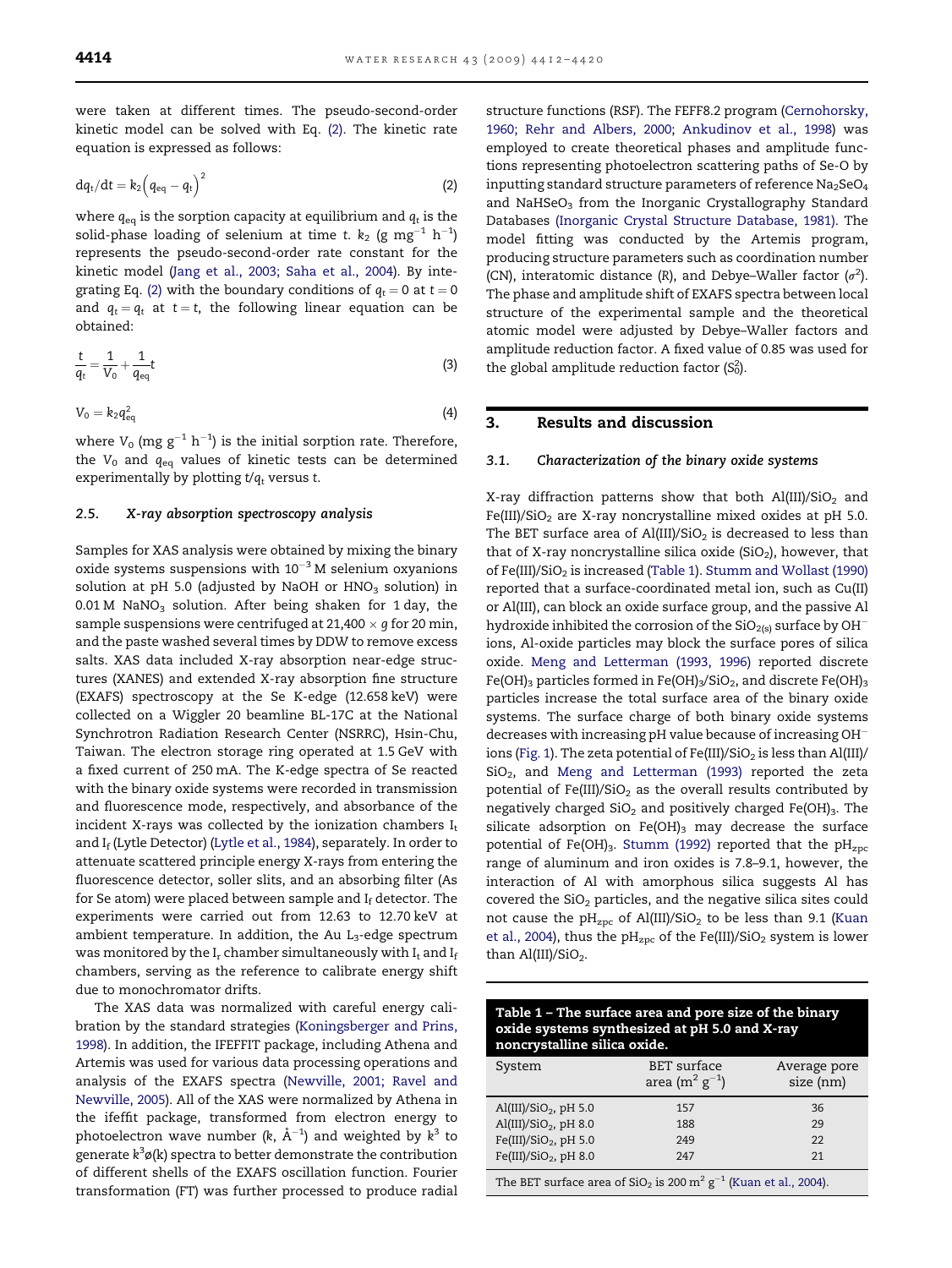were taken at different times. The pseudo-second-order kinetic model can be solved with Eq. (2). The kinetic rate equation is expressed as follows:

$$
dq_t/dt = k_2 \left( q_{eq} - q_t \right)^2 \tag{2}
$$

where  $q_{eq}$  is the sorption capacity at equilibrium and  $q_t$  is the solid-phase loading of selenium at time t.  $\rm k_2$  (g mg $^{-1}$   $\rm h^{-1})$ represents the pseudo-second-order rate constant for the kinetic model [\(Jang et al., 2003; Saha et al., 2004](#page-7-0)). By integrating Eq. (2) with the boundary conditions of  $q_t = 0$  at  $t = 0$ and  $q_t = q_t$  at  $t = t$ , the following linear equation can be obtained:

$$
\frac{t}{q_t} = \frac{1}{V_0} + \frac{1}{q_{eq}}t\tag{3}
$$

$$
V_0 = k_2 q_{\text{eq}}^2 \tag{4}
$$

where  $V_0$  (mg  $g^{-1}$   $h^{-1}$ ) is the initial sorption rate. Therefore, the  $V_0$  and  $q_{eq}$  values of kinetic tests can be determined experimentally by plotting  $t/q_t$  versus t.

#### 2.5. X-ray absorption spectroscopy analysis

Samples for XAS analysis were obtained by mixing the binary oxide systems suspensions with  $10^{-3}$  M selenium oxyanions solution at pH 5.0 (adjusted by NaOH or  $HNO<sub>3</sub>$  solution) in  $0.01$  M NaNO<sub>3</sub> solution. After being shaken for 1 day, the sample suspensions were centrifuged at 21,400  $\times$  g for 20 min, and the paste washed several times by DDW to remove excess salts. XAS data included X-ray absorption near-edge structures (XANES) and extended X-ray absorption fine structure (EXAFS) spectroscopy at the Se K-edge (12.658 keV) were collected on a Wiggler 20 beamline BL-17C at the National Synchrotron Radiation Research Center (NSRRC), Hsin-Chu, Taiwan. The electron storage ring operated at 1.5 GeV with a fixed current of 250 mA. The K-edge spectra of Se reacted with the binary oxide systems were recorded in transmission and fluorescence mode, respectively, and absorbance of the incident X-rays was collected by the ionization chambers  $I_t$ and If (Lytle Detector) [\(Lytle et al., 1984](#page-7-0)), separately. In order to attenuate scattered principle energy X-rays from entering the fluorescence detector, soller slits, and an absorbing filter (As for Se atom) were placed between sample and  $I_f$  detector. The experiments were carried out from 12.63 to 12.70 keV at ambient temperature. In addition, the Au  $L_3$ -edge spectrum was monitored by the  $I_r$  chamber simultaneously with  $I_t$  and  $I_f$ chambers, serving as the reference to calibrate energy shift due to monochromator drifts.

The XAS data was normalized with careful energy calibration by the standard strategies [\(Koningsberger and Prins,](#page-7-0) [1998\)](#page-7-0). In addition, the IFEFFIT package, including Athena and Artemis was used for various data processing operations and analysis of the EXAFS spectra ([Newville, 2001; Ravel and](#page-8-0) [Newville, 2005](#page-8-0)). All of the XAS were normalized by Athena in the ifeffit package, transformed from electron energy to photoelectron wave number (k,  $\rm \AA^{-1})$  and weighted by  $\rm k^3$  to generate k<sup>3</sup>ø(k) spectra to better demonstrate the contribution of different shells of the EXAFS oscillation function. Fourier transformation (FT) was further processed to produce radial structure functions (RSF). The FEFF8.2 program [\(Cernohorsky,](#page-7-0) [1960; Rehr and Albers, 2000](#page-7-0); [Ankudinov et al., 1998\)](#page-7-0) was employed to create theoretical phases and amplitude functions representing photoelectron scattering paths of Se-O by inputting standard structure parameters of reference  $Na<sub>2</sub>SeO<sub>4</sub>$ and NaHSeO<sub>3</sub> from the Inorganic Crystallography Standard Databases [\(Inorganic Crystal Structure Database, 1981\).](#page-7-0) The model fitting was conducted by the Artemis program, producing structure parameters such as coordination number (CN), interatomic distance (R), and Debye-Waller factor  $(\sigma^2)$ . The phase and amplitude shift of EXAFS spectra between local structure of the experimental sample and the theoretical atomic model were adjusted by Debye–Waller factors and amplitude reduction factor. A fixed value of 0.85 was used for the global amplitude reduction factor  $(S_0^2)$ .

# 3. Results and discussion

#### 3.1. Characterization of the binary oxide systems

X-ray diffraction patterns show that both  $Al(III)/SiO<sub>2</sub>$  and Fe(III)/SiO<sub>2</sub> are X-ray noncrystalline mixed oxides at pH 5.0. The BET surface area of Al(III)/SiO<sub>2</sub> is decreased to less than that of X-ray noncrystalline silica oxide  $(SiO<sub>2</sub>)$ , however, that of Fe(III)/SiO<sub>2</sub> is increased (Table 1). [Stumm and Wollast \(1990\)](#page-8-0) reported that a surface-coordinated metal ion, such as Cu(II) or Al(III), can block an oxide surface group, and the passive Al hydroxide inhibited the corrosion of the  $SiO<sub>2(s)</sub>$  surface by OH<sup>-</sup> ions, Al-oxide particles may block the surface pores of silica oxide. [Meng and Letterman \(1993, 1996\)](#page-8-0) reported discrete Fe(OH)<sub>3</sub> particles formed in Fe(OH)<sub>3</sub>/SiO<sub>2</sub>, and discrete Fe(OH)<sub>3</sub> particles increase the total surface area of the binary oxide systems. The surface charge of both binary oxide systems decreases with increasing pH value because of increasing OH ions ([Fig. 1\)](#page-3-0). The zeta potential of Fe(III)/SiO<sub>2</sub> is less than Al(III)/ SiO<sub>2</sub>, and [Meng and Letterman \(1993\)](#page-8-0) reported the zeta potential of Fe(III)/SiO<sub>2</sub> as the overall results contributed by negatively charged  $SiO<sub>2</sub>$  and positively charged Fe(OH)<sub>3</sub>. The silicate adsorption on  $Fe(OH)_3$  may decrease the surface potential of Fe(OH)<sub>3</sub>. [Stumm \(1992\)](#page-8-0) reported that the  $pH_{zpc}$ range of aluminum and iron oxides is 7.8–9.1, however, the interaction of Al with amorphous silica suggests Al has covered the  $SiO<sub>2</sub>$  particles, and the negative silica sites could not cause the  $pH_{zpc}$  of Al(III)/SiO<sub>2</sub> to be less than 9.1 ([Kuan](#page-7-0) [et al., 2004\)](#page-7-0), thus the  $pH_{zpc}$  of the Fe(III)/SiO<sub>2</sub> system is lower than  $Al(III)/SiO<sub>2</sub>$ .

| Table 1 - The surface area and pore size of the binary |
|--------------------------------------------------------|
| oxide systems synthesized at pH 5.0 and X-ray          |
| noncrystalline silica oxide.                           |

| System                            | <b>BET</b> surface<br>area (m <sup>2</sup> g <sup>-1</sup> ) | Average pore<br>size (nm) |  |
|-----------------------------------|--------------------------------------------------------------|---------------------------|--|
| $\text{Al(III)/SiO}_2$ , pH 5.0   | 157                                                          | 36                        |  |
| Al(III)/SiO <sub>2</sub> , pH 8.0 | 188                                                          | 29                        |  |
| Fe(III)/SiO <sub>2</sub> , pH 5.0 | 249                                                          | 22                        |  |
| Fe(III)/SiO <sub>2</sub> , pH 8.0 | 247                                                          | 21                        |  |

The BET surface area of  $SiO<sub>2</sub>$  is 200 m<sup>2</sup> g<sup>-1</sup> [\(Kuan et al., 2004\)](#page-7-0).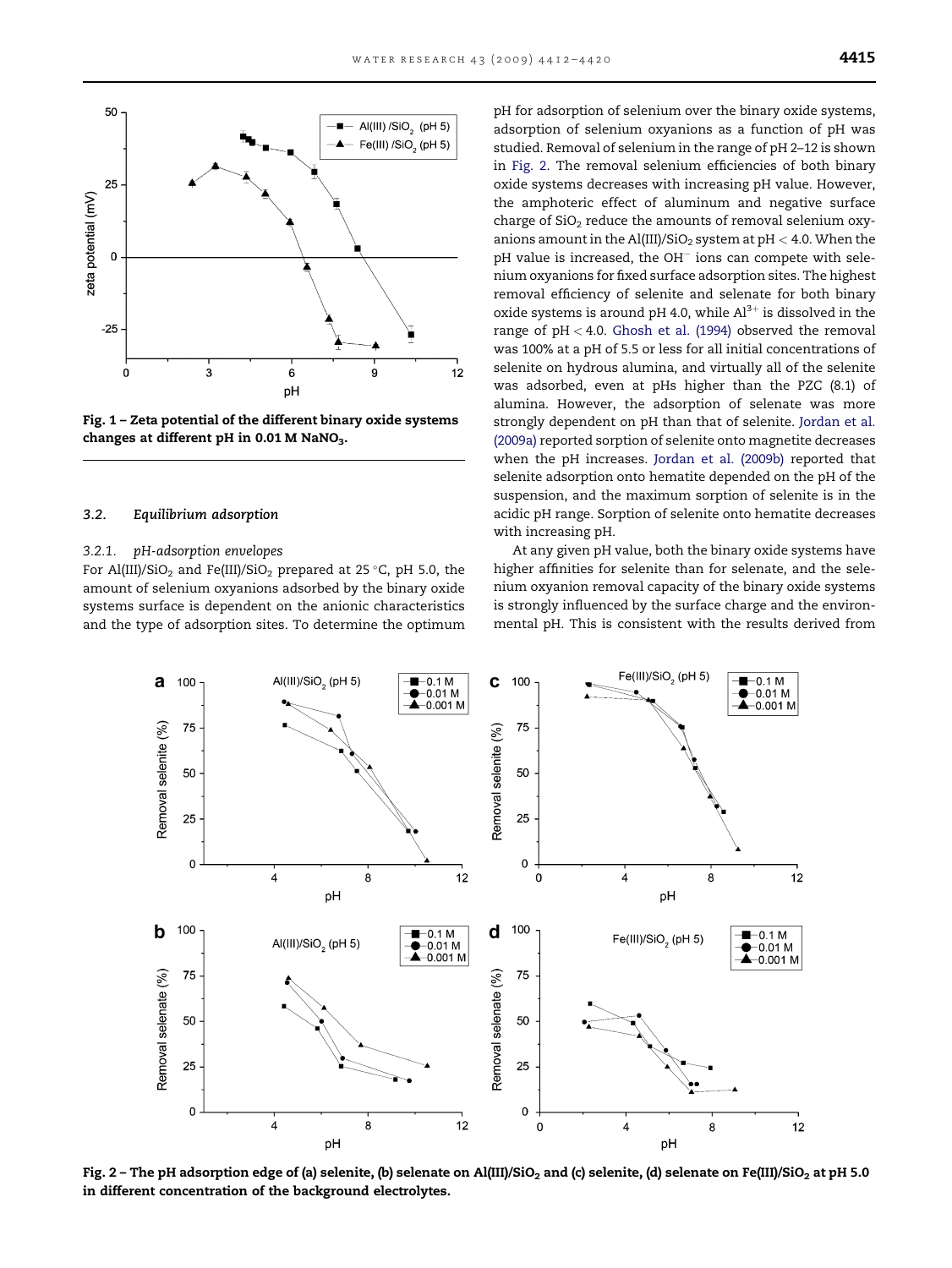<span id="page-3-0"></span>

Fig. 1 – Zeta potential of the different binary oxide systems changes at different pH in  $0.01$  M NaNO<sub>3</sub>.

#### 3.2. Equilibrium adsorption

# 3.2.1. pH-adsorption envelopes

For Al(III)/SiO<sub>2</sub> and Fe(III)/SiO<sub>2</sub> prepared at 25 °C, pH 5.0, the amount of selenium oxyanions adsorbed by the binary oxide systems surface is dependent on the anionic characteristics and the type of adsorption sites. To determine the optimum pH for adsorption of selenium over the binary oxide systems, adsorption of selenium oxyanions as a function of pH was studied. Removal of selenium in the range of pH 2–12 is shown in Fig. 2. The removal selenium efficiencies of both binary oxide systems decreases with increasing pH value. However, the amphoteric effect of aluminum and negative surface charge of  $SiO<sub>2</sub>$  reduce the amounts of removal selenium oxyanions amount in the Al(III)/SiO<sub>2</sub> system at pH  $<$  4.0. When the  $pH$  value is increased, the OH $^-$  ions can compete with selenium oxyanions for fixed surface adsorption sites. The highest removal efficiency of selenite and selenate for both binary oxide systems is around pH 4.0, while  $Al^{3+}$  is dissolved in the range of  $pH < 4.0$ . [Ghosh et al. \(1994\)](#page-7-0) observed the removal was 100% at a pH of 5.5 or less for all initial concentrations of selenite on hydrous alumina, and virtually all of the selenite was adsorbed, even at pHs higher than the PZC (8.1) of alumina. However, the adsorption of selenate was more strongly dependent on pH than that of selenite. [Jordan et al.](#page-7-0) [\(2009a\)](#page-7-0) reported sorption of selenite onto magnetite decreases when the pH increases. [Jordan et al. \(2009b\)](#page-7-0) reported that selenite adsorption onto hematite depended on the pH of the suspension, and the maximum sorption of selenite is in the acidic pH range. Sorption of selenite onto hematite decreases with increasing pH.

At any given pH value, both the binary oxide systems have higher affinities for selenite than for selenate, and the selenium oxyanion removal capacity of the binary oxide systems is strongly influenced by the surface charge and the environmental pH. This is consistent with the results derived from



Fig. 2 - The pH adsorption edge of (a) selenite, (b) selenate on Al(III)/SiO<sub>2</sub> and (c) selenite, (d) selenate on Fe(III)/SiO<sub>2</sub> at pH 5.0 in different concentration of the background electrolytes.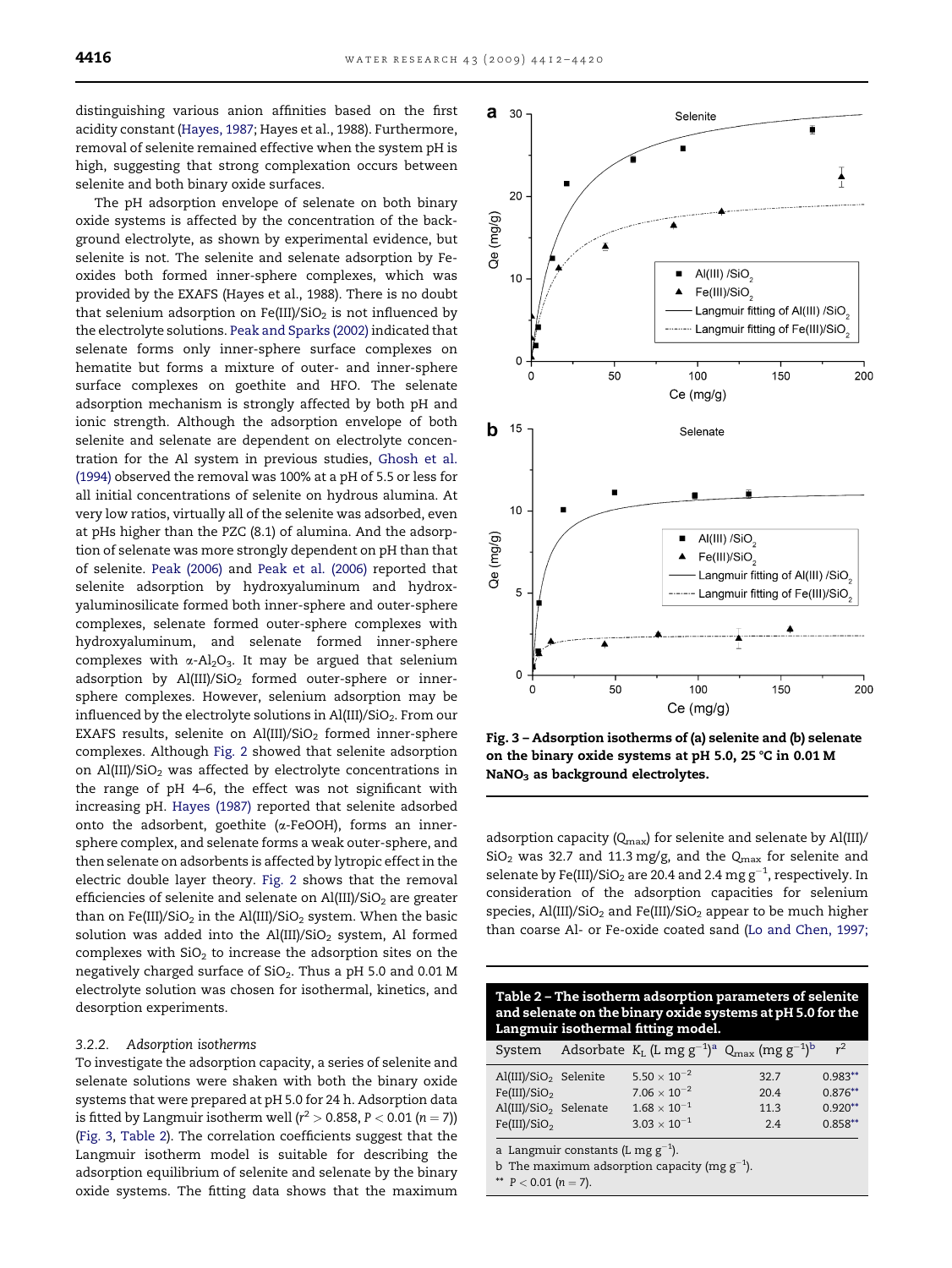<span id="page-4-0"></span>distinguishing various anion affinities based on the first acidity constant ([Hayes, 1987;](#page-7-0) Hayes et al., 1988). Furthermore, removal of selenite remained effective when the system pH is high, suggesting that strong complexation occurs between selenite and both binary oxide surfaces.

The pH adsorption envelope of selenate on both binary oxide systems is affected by the concentration of the background electrolyte, as shown by experimental evidence, but selenite is not. The selenite and selenate adsorption by Feoxides both formed inner-sphere complexes, which was provided by the EXAFS (Hayes et al., 1988). There is no doubt that selenium adsorption on Fe(III)/SiO<sub>2</sub> is not influenced by the electrolyte solutions. [Peak and Sparks \(2002\)](#page-8-0) indicated that selenate forms only inner-sphere surface complexes on hematite but forms a mixture of outer- and inner-sphere surface complexes on goethite and HFO. The selenate adsorption mechanism is strongly affected by both pH and ionic strength. Although the adsorption envelope of both selenite and selenate are dependent on electrolyte concentration for the Al system in previous studies, [Ghosh et al.](#page-7-0) [\(1994\)](#page-7-0) observed the removal was 100% at a pH of 5.5 or less for all initial concentrations of selenite on hydrous alumina. At very low ratios, virtually all of the selenite was adsorbed, even at pHs higher than the PZC (8.1) of alumina. And the adsorption of selenate was more strongly dependent on pH than that of selenite. [Peak \(2006\)](#page-8-0) and [Peak et al. \(2006\)](#page-8-0) reported that selenite adsorption by hydroxyaluminum and hydroxyaluminosilicate formed both inner-sphere and outer-sphere complexes, selenate formed outer-sphere complexes with hydroxyaluminum, and selenate formed inner-sphere complexes with  $\alpha$ -Al<sub>2</sub>O<sub>3</sub>. It may be argued that selenium adsorption by  $Al(III)/SiO<sub>2</sub>$  formed outer-sphere or innersphere complexes. However, selenium adsorption may be influenced by the electrolyte solutions in Al(III)/SiO<sub>2</sub>. From our EXAFS results, selenite on Al(III)/SiO<sub>2</sub> formed inner-sphere complexes. Although [Fig. 2](#page-3-0) showed that selenite adsorption on Al(III)/SiO<sub>2</sub> was affected by electrolyte concentrations in the range of pH 4–6, the effect was not significant with increasing pH. [Hayes \(1987\)](#page-7-0) reported that selenite adsorbed onto the adsorbent, goethite ( $\alpha$ -FeOOH), forms an innersphere complex, and selenate forms a weak outer-sphere, and then selenate on adsorbents is affected by lytropic effect in the electric double layer theory. [Fig. 2](#page-3-0) shows that the removal efficiencies of selenite and selenate on  $Al(III)/SiO<sub>2</sub>$  are greater than on Fe(III)/SiO<sub>2</sub> in the Al(III)/SiO<sub>2</sub> system. When the basic solution was added into the Al(III)/SiO<sub>2</sub> system, Al formed complexes with  $SiO<sub>2</sub>$  to increase the adsorption sites on the negatively charged surface of  $SiO<sub>2</sub>$ . Thus a pH 5.0 and 0.01 M electrolyte solution was chosen for isothermal, kinetics, and desorption experiments.

#### 3.2.2. Adsorption isotherms

To investigate the adsorption capacity, a series of selenite and selenate solutions were shaken with both the binary oxide systems that were prepared at pH 5.0 for 24 h. Adsorption data is fitted by Langmuir isotherm well (r $^2$   $>$  0.858, P  $<$  0.01 (n  $=$  7)) (Fig. 3, Table 2). The correlation coefficients suggest that the Langmuir isotherm model is suitable for describing the adsorption equilibrium of selenite and selenate by the binary oxide systems. The fitting data shows that the maximum



Fig. 3 – Adsorption isotherms of (a) selenite and (b) selenate on the binary oxide systems at pH 5.0, 25  $\degree$ C in 0.01 M  $NaNO<sub>3</sub>$  as background electrolytes.

adsorption capacity ( $Q_{\text{max}}$ ) for selenite and selenate by Al(III)/  $SiO<sub>2</sub>$  was 32.7 and 11.3 mg/g, and the  $Q<sub>max</sub>$  for selenite and selenate by Fe(III)/SiO<sub>2</sub> are 20.4 and 2.4  $\text{mg}\,\text{g}^{-1}$ , respectively. In consideration of the adsorption capacities for selenium species, Al(III)/SiO<sub>2</sub> and Fe(III)/SiO<sub>2</sub> appear to be much higher than coarse Al- or Fe-oxide coated sand [\(Lo and Chen, 1997;](#page-7-0)

| Langmuir isothermal fitting model.                                                                                                                                                                                                                               |                                                  |
|------------------------------------------------------------------------------------------------------------------------------------------------------------------------------------------------------------------------------------------------------------------|--------------------------------------------------|
| Adsorbate $K_L$ (L mg $g^{-1}$ ) <sup>a</sup> Q <sub>max</sub> (mg $g^{-1}$ ) <sup>b</sup><br>System                                                                                                                                                             | $r^2$                                            |
| $5.50 \times 10^{-2}$<br>Al(III)/SiO <sub>2</sub> Selenite<br>32.7<br>$7.06 \times 10^{-2}$<br>Fe(III)/SiO <sub>2</sub><br>20.4<br>$1.68 \times 10^{-1}$<br>Al(III)/SiO <sub>2</sub> Selenate<br>11.3<br>$3.03 \times 10^{-1}$<br>Fe(III)/SiO <sub>2</sub><br>24 | $0.983**$<br>$0.876**$<br>$0.920**$<br>$0.858**$ |

a Langmuir constants (L mg  $g^{-1}$ ).

b The maximum adsorption capacity (mg  $g^{-1}$ ).

\*\*  $P < 0.01$  (n = 7).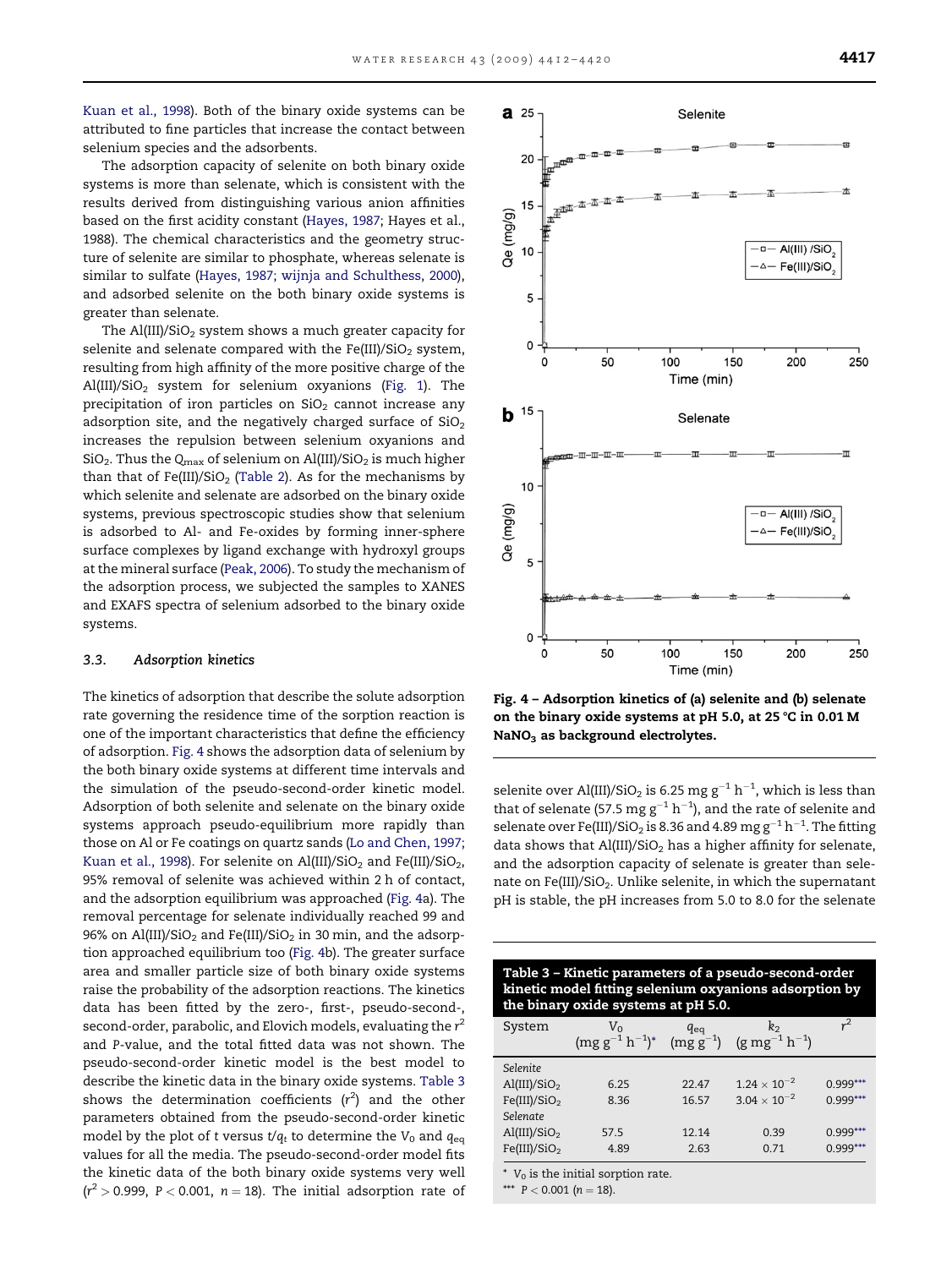[Kuan et al., 1998](#page-7-0)). Both of the binary oxide systems can be attributed to fine particles that increase the contact between selenium species and the adsorbents.

The adsorption capacity of selenite on both binary oxide systems is more than selenate, which is consistent with the results derived from distinguishing various anion affinities based on the first acidity constant ([Hayes, 1987;](#page-7-0) Hayes et al., 1988). The chemical characteristics and the geometry structure of selenite are similar to phosphate, whereas selenate is similar to sulfate ([Hayes, 1987; wijnja and Schulthess, 2000](#page-7-0)), and adsorbed selenite on the both binary oxide systems is greater than selenate.

The  $Al(III)/SiO<sub>2</sub>$  system shows a much greater capacity for selenite and selenate compared with the Fe(III)/SiO<sub>2</sub> system, resulting from high affinity of the more positive charge of the Al(III)/SiO2 system for selenium oxyanions [\(Fig. 1](#page-3-0)). The precipitation of iron particles on  $SiO<sub>2</sub>$  cannot increase any adsorption site, and the negatively charged surface of  $SiO<sub>2</sub>$ increases the repulsion between selenium oxyanions and  $SiO<sub>2</sub>$ . Thus the Q<sub>max</sub> of selenium on Al(III)/SiO<sub>2</sub> is much higher than that of Fe(III)/SiO<sub>2</sub> [\(Table 2](#page-4-0)). As for the mechanisms by which selenite and selenate are adsorbed on the binary oxide systems, previous spectroscopic studies show that selenium is adsorbed to Al- and Fe-oxides by forming inner-sphere surface complexes by ligand exchange with hydroxyl groups at the mineral surface [\(Peak, 2006\)](#page-8-0). To study the mechanism of the adsorption process, we subjected the samples to XANES and EXAFS spectra of selenium adsorbed to the binary oxide systems.

# 3.3. Adsorption kinetics

The kinetics of adsorption that describe the solute adsorption rate governing the residence time of the sorption reaction is one of the important characteristics that define the efficiency of adsorption. Fig. 4 shows the adsorption data of selenium by the both binary oxide systems at different time intervals and the simulation of the pseudo-second-order kinetic model. Adsorption of both selenite and selenate on the binary oxide systems approach pseudo-equilibrium more rapidly than those on Al or Fe coatings on quartz sands ([Lo and Chen, 1997;](#page-7-0) [Kuan et al., 1998](#page-7-0)). For selenite on Al(III)/SiO<sub>2</sub> and Fe(III)/SiO<sub>2</sub>, 95% removal of selenite was achieved within 2 h of contact, and the adsorption equilibrium was approached (Fig. 4a). The removal percentage for selenate individually reached 99 and 96% on Al(III)/SiO<sub>2</sub> and Fe(III)/SiO<sub>2</sub> in 30 min, and the adsorption approached equilibrium too (Fig. 4b). The greater surface area and smaller particle size of both binary oxide systems raise the probability of the adsorption reactions. The kinetics data has been fitted by the zero-, first-, pseudo-second-, second-order, parabolic, and Elovich models, evaluating the  $r^2$ and P-value, and the total fitted data was not shown. The pseudo-second-order kinetic model is the best model to describe the kinetic data in the binary oxide systems. Table 3 shows the determination coefficients  $(r^2)$  and the other parameters obtained from the pseudo-second-order kinetic model by the plot of t versus  $t/q_t$  to determine the  $V_0$  and  $q_{eq}$ values for all the media. The pseudo-second-order model fits the kinetic data of the both binary oxide systems very well  $(r^2 > 0.999, P < 0.001, n = 18)$ . The initial adsorption rate of



Fig. 4 – Adsorption kinetics of (a) selenite and (b) selenate on the binary oxide systems at pH 5.0, at 25  $\degree$ C in 0.01 M NaNO<sub>3</sub> as background electrolytes.

selenite over Al(III)/SiO $_2$  is 6.25 mg g $^{-1}$  h $^{-1}$ , which is less than that of selenate (57.5  $\text{mg}\,\text{g}^{-1}\,\text{h}^{-1}$ ), and the rate of selenite and selenate over Fe(III)/SiO $_2$  is 8.36 and 4.89  $\rm{mg\,g^{-1}\,h^{-1}}.$  The fitting data shows that  $Al(III)/SiO<sub>2</sub>$  has a higher affinity for selenate, and the adsorption capacity of selenate is greater than selenate on Fe(III)/SiO<sub>2</sub>. Unlike selenite, in which the supernatant pH is stable, the pH increases from 5.0 to 8.0 for the selenate

| Table 3 - Kinetic parameters of a pseudo-second-order<br>kinetic model fitting selenium oxyanions adsorption by<br>the binary oxide systems at pH 5.0. |                                                                                   |       |                       |            |  |
|--------------------------------------------------------------------------------------------------------------------------------------------------------|-----------------------------------------------------------------------------------|-------|-----------------------|------------|--|
| System                                                                                                                                                 | $V_0$ $q_{eq}$ $k_2$<br>$(mg g^{-1} h^{-1})^*$ $(mg g^{-1})$ $(g mg^{-1} h^{-1})$ |       |                       | $r^2$      |  |
|                                                                                                                                                        |                                                                                   |       |                       |            |  |
| Selenite                                                                                                                                               |                                                                                   |       |                       |            |  |
| $\text{Al(III)/SiO}_2$                                                                                                                                 | 6.25                                                                              | 22.47 | $1.24 \times 10^{-2}$ | $0.999***$ |  |
| Fe(III)/SiO <sub>2</sub>                                                                                                                               | 8.36                                                                              | 16.57 | $3.04 \times 10^{-2}$ | $0.999***$ |  |
| Selenate                                                                                                                                               |                                                                                   |       |                       |            |  |
| $\text{Al(III)/SiO}_2$                                                                                                                                 | 57.5                                                                              | 12.14 | 0.39                  | $0.999***$ |  |
| Fe(III)/SiO <sub>2</sub>                                                                                                                               | 4.89                                                                              | 2.63  | 0.71                  | $0.999***$ |  |
| $*$ V <sub>0</sub> is the initial sorption rate.<br>*** $P < 0.001$ (n = 18).                                                                          |                                                                                   |       |                       |            |  |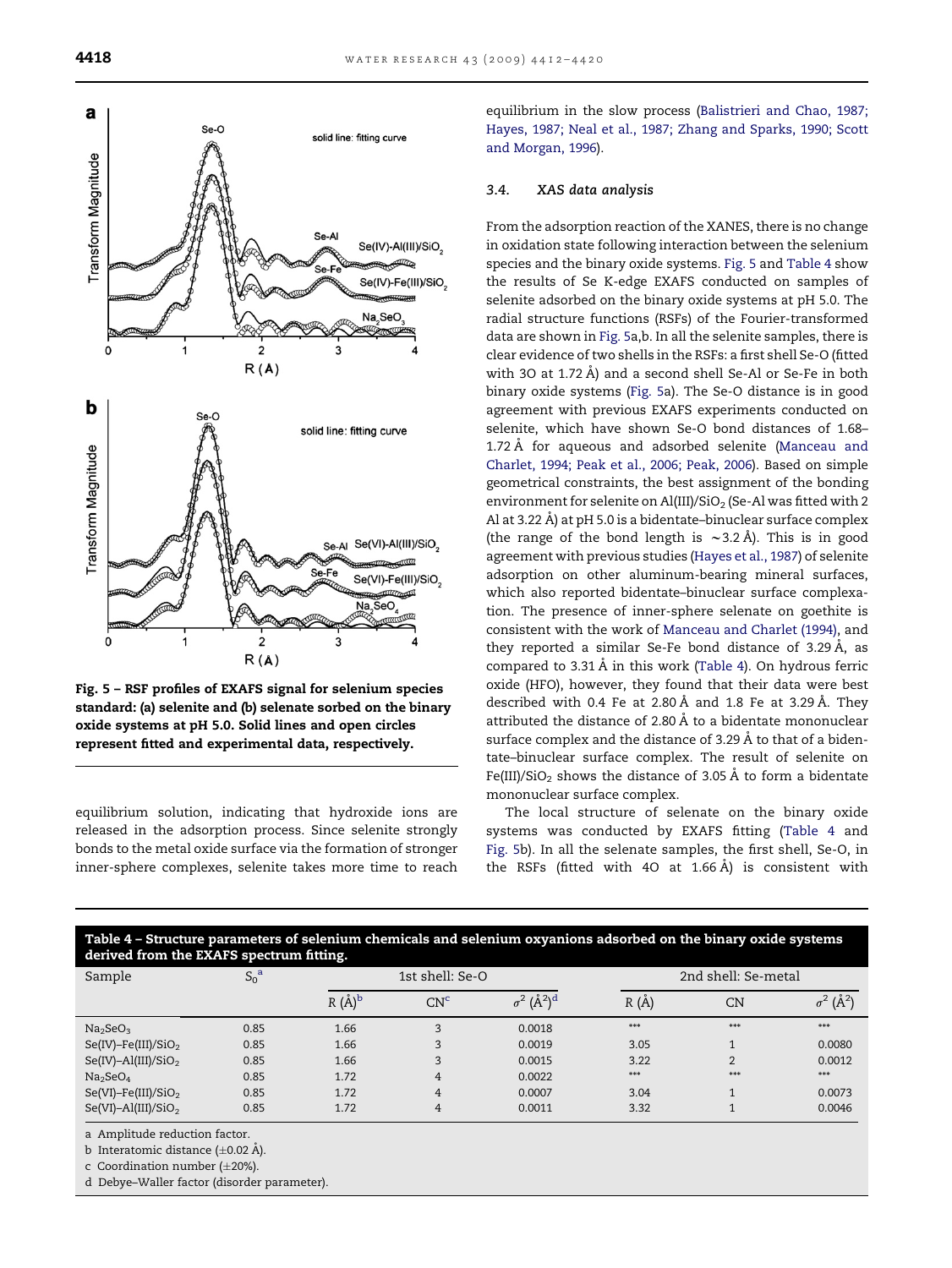

Fig. 5 – RSF profiles of EXAFS signal for selenium species standard: (a) selenite and (b) selenate sorbed on the binary oxide systems at pH 5.0. Solid lines and open circles represent fitted and experimental data, respectively.

equilibrium solution, indicating that hydroxide ions are released in the adsorption process. Since selenite strongly bonds to the metal oxide surface via the formation of stronger inner-sphere complexes, selenite takes more time to reach equilibrium in the slow process [\(Balistrieri and Chao, 1987;](#page-7-0) [Hayes, 1987; Neal et al., 1987; Zhang and Sparks, 1990; Scott](#page-7-0) [and Morgan, 1996](#page-7-0)).

# 3.4. XAS data analysis

From the adsorption reaction of the XANES, there is no change in oxidation state following interaction between the selenium species and the binary oxide systems. Fig. 5 and Table 4 show the results of Se K-edge EXAFS conducted on samples of selenite adsorbed on the binary oxide systems at pH 5.0. The radial structure functions (RSFs) of the Fourier-transformed data are shown in Fig. 5a,b. In all the selenite samples, there is clear evidence of two shells in the RSFs: a first shell Se-O (fitted with 30 at 1.72  $\AA$ ) and a second shell Se-Al or Se-Fe in both binary oxide systems (Fig. 5a). The Se-O distance is in good agreement with previous EXAFS experiments conducted on selenite, which have shown Se-O bond distances of 1.68– 1.72 Å for aqueous and adsorbed selenite ([Manceau and](#page-8-0) [Charlet, 1994; Peak et al., 2006; Peak, 2006\)](#page-8-0). Based on simple geometrical constraints, the best assignment of the bonding environment for selenite on Al(III)/SiO<sub>2</sub> (Se-Al was fitted with 2 Al at 3.22 Å) at pH 5.0 is a bidentate-binuclear surface complex (the range of the bond length is  $\sim$ 3.2 Å). This is in good agreement with previous studies [\(Hayes et al., 1987\)](#page-7-0) of selenite adsorption on other aluminum-bearing mineral surfaces, which also reported bidentate–binuclear surface complexation. The presence of inner-sphere selenate on goethite is consistent with the work of [Manceau and Charlet \(1994\),](#page-8-0) and they reported a similar Se-Fe bond distance of 3.29 Å, as compared to  $3.31 \text{ Å}$  in this work (Table 4). On hydrous ferric oxide (HFO), however, they found that their data were best described with 0.4 Fe at 2.80 Å and 1.8 Fe at 3.29 Å. They attributed the distance of 2.80 Å to a bidentate mononuclear surface complex and the distance of 3.29 Å to that of a bidentate–binuclear surface complex. The result of selenite on Fe(III)/SiO<sub>2</sub> shows the distance of 3.05 Å to form a bidentate mononuclear surface complex.

The local structure of selenate on the binary oxide systems was conducted by EXAFS fitting (Table 4 and Fig. 5b). In all the selenate samples, the first shell, Se-O, in the RSFs (fitted with 40 at 1.66  $\AA$ ) is consistent with

| Table 4 – Structure parameters of selenium chemicals and selenium oxyanions adsorbed on the binary oxide systems<br>derived from the EXAFS spectrum fitting. |             |                 |                 |                                     |       |                     |                              |  |
|--------------------------------------------------------------------------------------------------------------------------------------------------------------|-------------|-----------------|-----------------|-------------------------------------|-------|---------------------|------------------------------|--|
| Sample                                                                                                                                                       | $S_0^{\ a}$ | 1st shell: Se-O |                 |                                     |       | 2nd shell: Se-metal |                              |  |
|                                                                                                                                                              |             | $R(\AA)^b$      | CN <sup>c</sup> | $\sigma^2$ ( $\AA^2$ ) <sup>d</sup> | R(A)  | CN                  | $\sigma^2$ (Å <sup>2</sup> ) |  |
| Na <sub>2</sub> SeO <sub>3</sub>                                                                                                                             | 0.85        | 1.66            | 3               | 0.0018                              | $***$ | $***$               | $***$                        |  |
| $Se(IV)$ -Fe(III)/SiO <sub>2</sub>                                                                                                                           | 0.85        | 1.66            | 3               | 0.0019                              | 3.05  | $\overline{ }$      | 0.0080                       |  |
| $Se(IV)$ -Al(III)/SiO <sub>2</sub>                                                                                                                           | 0.85        | 1.66            | 3               | 0.0015                              | 3.22  | $\overline{2}$      | 0.0012                       |  |
| Na <sub>2</sub> SeO <sub>4</sub>                                                                                                                             | 0.85        | 1.72            | $\overline{4}$  | 0.0022                              | ***   | $***$               | $***$                        |  |
| $Se(VI)$ -Fe(III)/SiO <sub>2</sub>                                                                                                                           | 0.85        | 1.72            | 4               | 0.0007                              | 3.04  | 1                   | 0.0073                       |  |
| $Se(VI) - Al(III)/SiO2$                                                                                                                                      | 0.85        | 1.72            | 4               | 0.0011                              | 3.32  |                     | 0.0046                       |  |

a Amplitude reduction factor.

b Interatomic distance ( $\pm$ 0.02 Å).

c Coordination number ( $\pm 20\%$ ).

d Debye–Waller factor (disorder parameter).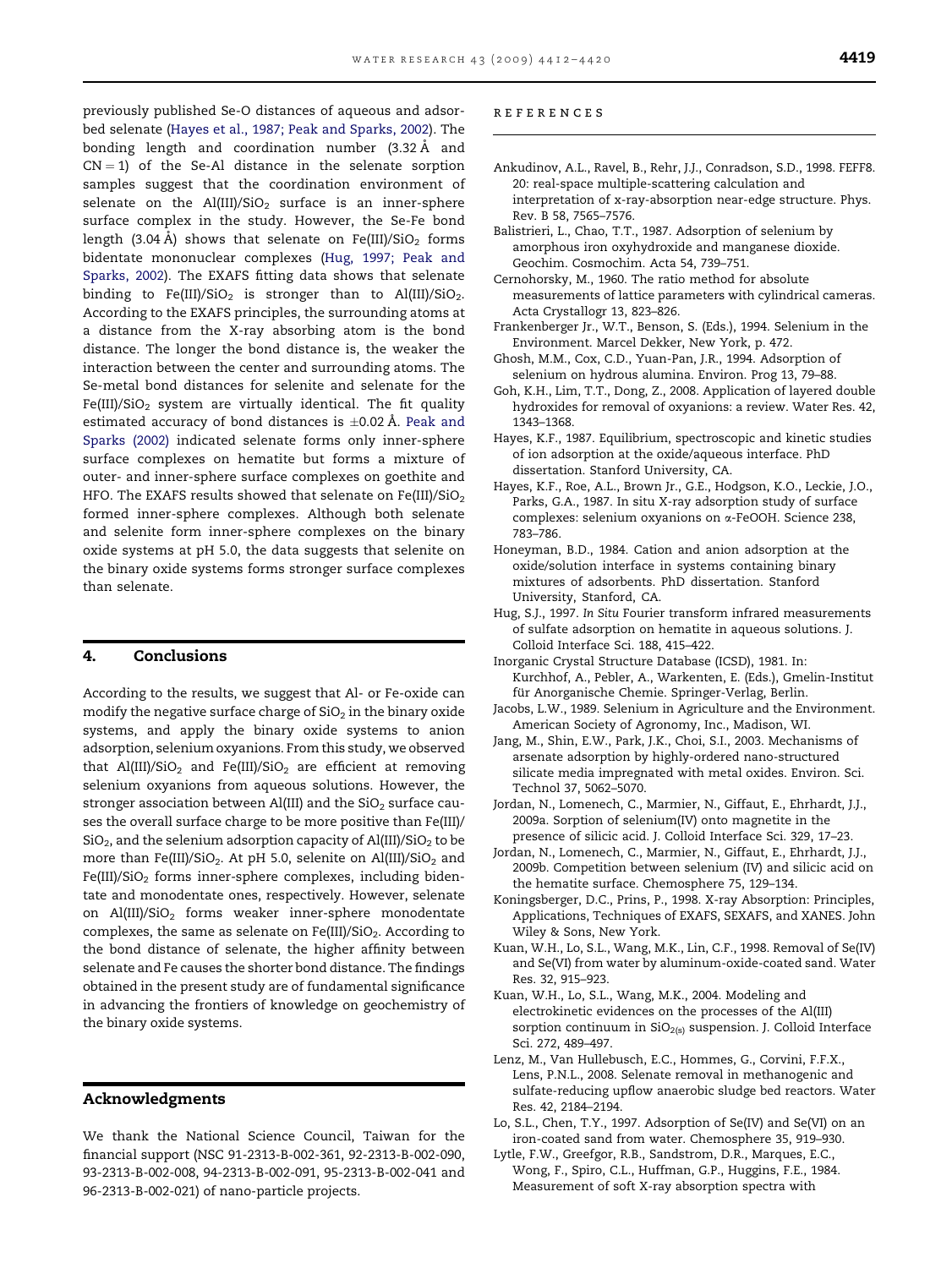<span id="page-7-0"></span>previously published Se-O distances of aqueous and adsorbed selenate (Hayes et al., 1987; Peak and Sparks, 2002). The bonding length and coordination number (3.32 Å and  $CN = 1$ ) of the Se-Al distance in the selenate sorption samples suggest that the coordination environment of selenate on the  $Al(III)/SiO<sub>2</sub>$  surface is an inner-sphere surface complex in the study. However, the Se-Fe bond length (3.04 Å) shows that selenate on Fe(III)/SiO<sub>2</sub> forms bidentate mononuclear complexes (Hug, 1997; Peak and Sparks, 2002). The EXAFS fitting data shows that selenate binding to Fe(III)/SiO<sub>2</sub> is stronger than to Al(III)/SiO<sub>2</sub>. According to the EXAFS principles, the surrounding atoms at a distance from the X-ray absorbing atom is the bond distance. The longer the bond distance is, the weaker the interaction between the center and surrounding atoms. The Se-metal bond distances for selenite and selenate for the Fe(III)/SiO<sub>2</sub> system are virtually identical. The fit quality estimated accuracy of bond distances is  $\pm$ 0.02 Å. [Peak and](#page-8-0) [Sparks \(2002\)](#page-8-0) indicated selenate forms only inner-sphere surface complexes on hematite but forms a mixture of outer- and inner-sphere surface complexes on goethite and HFO. The EXAFS results showed that selenate on Fe(III)/SiO<sub>2</sub> formed inner-sphere complexes. Although both selenate and selenite form inner-sphere complexes on the binary oxide systems at pH 5.0, the data suggests that selenite on the binary oxide systems forms stronger surface complexes than selenate.

# 4. Conclusions

According to the results, we suggest that Al- or Fe-oxide can modify the negative surface charge of  $SiO<sub>2</sub>$  in the binary oxide systems, and apply the binary oxide systems to anion adsorption, selenium oxyanions. From this study, we observed that Al(III)/SiO<sub>2</sub> and Fe(III)/SiO<sub>2</sub> are efficient at removing selenium oxyanions from aqueous solutions. However, the stronger association between Al(III) and the  $SiO<sub>2</sub>$  surface causes the overall surface charge to be more positive than Fe(III)/  $SiO<sub>2</sub>$ , and the selenium adsorption capacity of Al(III)/SiO<sub>2</sub> to be more than Fe(III)/SiO<sub>2</sub>. At pH 5.0, selenite on Al(III)/SiO<sub>2</sub> and  $Fe(III)/SiO<sub>2</sub>$  forms inner-sphere complexes, including bidentate and monodentate ones, respectively. However, selenate on  $Al(III)/SiO<sub>2</sub>$  forms weaker inner-sphere monodentate complexes, the same as selenate on  $Fe(III)/SiO<sub>2</sub>$ . According to the bond distance of selenate, the higher affinity between selenate and Fe causes the shorter bond distance. The findings obtained in the present study are of fundamental significance in advancing the frontiers of knowledge on geochemistry of the binary oxide systems.

# Acknowledgments

We thank the National Science Council, Taiwan for the financial support (NSC 91-2313-B-002-361, 92-2313-B-002-090, 93-2313-B-002-008, 94-2313-B-002-091, 95-2313-B-002-041 and 96-2313-B-002-021) of nano-particle projects.

#### references

- Ankudinov, A.L., Ravel, B., Rehr, J.J., Conradson, S.D., 1998. FEFF8. 20: real-space multiple-scattering calculation and interpretation of x-ray-absorption near-edge structure. Phys. Rev. B 58, 7565–7576.
- Balistrieri, L., Chao, T.T., 1987. Adsorption of selenium by amorphous iron oxyhydroxide and manganese dioxide. Geochim. Cosmochim. Acta 54, 739–751.
- Cernohorsky, M., 1960. The ratio method for absolute measurements of lattice parameters with cylindrical cameras. Acta Crystallogr 13, 823–826.
- Frankenberger Jr., W.T., Benson, S. (Eds.), 1994. Selenium in the Environment. Marcel Dekker, New York, p. 472.
- Ghosh, M.M., Cox, C.D., Yuan-Pan, J.R., 1994. Adsorption of selenium on hydrous alumina. Environ. Prog 13, 79–88.
- Goh, K.H., Lim, T.T., Dong, Z., 2008. Application of layered double hydroxides for removal of oxyanions: a review. Water Res. 42, 1343–1368.
- Hayes, K.F., 1987. Equilibrium, spectroscopic and kinetic studies of ion adsorption at the oxide/aqueous interface. PhD dissertation. Stanford University, CA.
- Hayes, K.F., Roe, A.L., Brown Jr., G.E., Hodgson, K.O., Leckie, J.O., Parks, G.A., 1987. In situ X-ray adsorption study of surface complexes: selenium oxyanions on a-FeOOH. Science 238, 783–786.
- Honeyman, B.D., 1984. Cation and anion adsorption at the oxide/solution interface in systems containing binary mixtures of adsorbents. PhD dissertation. Stanford University, Stanford, CA.
- Hug, S.J., 1997. In Situ Fourier transform infrared measurements of sulfate adsorption on hematite in aqueous solutions. J. Colloid Interface Sci. 188, 415–422.
- Inorganic Crystal Structure Database (ICSD), 1981. In: Kurchhof, A., Pebler, A., Warkenten, E. (Eds.), Gmelin-Institut für Anorganische Chemie. Springer-Verlag, Berlin.
- Jacobs, L.W., 1989. Selenium in Agriculture and the Environment. American Society of Agronomy, Inc., Madison, WI.
- Jang, M., Shin, E.W., Park, J.K., Choi, S.I., 2003. Mechanisms of arsenate adsorption by highly-ordered nano-structured silicate media impregnated with metal oxides. Environ. Sci. Technol 37, 5062–5070.
- Jordan, N., Lomenech, C., Marmier, N., Giffaut, E., Ehrhardt, J.J., 2009a. Sorption of selenium(IV) onto magnetite in the presence of silicic acid. J. Colloid Interface Sci. 329, 17–23.
- Jordan, N., Lomenech, C., Marmier, N., Giffaut, E., Ehrhardt, J.J., 2009b. Competition between selenium (IV) and silicic acid on the hematite surface. Chemosphere 75, 129–134.
- Koningsberger, D.C., Prins, P., 1998. X-ray Absorption: Principles, Applications, Techniques of EXAFS, SEXAFS, and XANES. John Wiley & Sons, New York.
- Kuan, W.H., Lo, S.L., Wang, M.K., Lin, C.F., 1998. Removal of Se(IV) and Se(VI) from water by aluminum-oxide-coated sand. Water Res. 32, 915–923.
- Kuan, W.H., Lo, S.L., Wang, M.K., 2004. Modeling and electrokinetic evidences on the processes of the Al(III) sorption continuum in  $SiO<sub>2(s)</sub>$  suspension. J. Colloid Interface Sci. 272, 489–497.
- Lenz, M., Van Hullebusch, E.C., Hommes, G., Corvini, F.F.X., Lens, P.N.L., 2008. Selenate removal in methanogenic and sulfate-reducing upflow anaerobic sludge bed reactors. Water Res. 42, 2184–2194.
- Lo, S.L., Chen, T.Y., 1997. Adsorption of Se(IV) and Se(VI) on an iron-coated sand from water. Chemosphere 35, 919–930.
- Lytle, F.W., Greefgor, R.B., Sandstrom, D.R., Marques, E.C., Wong, F., Spiro, C.L., Huffman, G.P., Huggins, F.E., 1984. Measurement of soft X-ray absorption spectra with